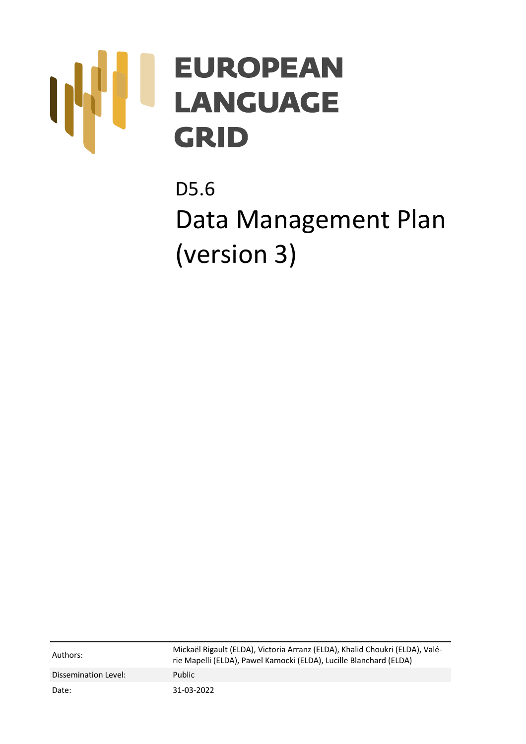# **EUROPEAN LANGUAGE GRID**

D5.6 Data Management Plan (version 3)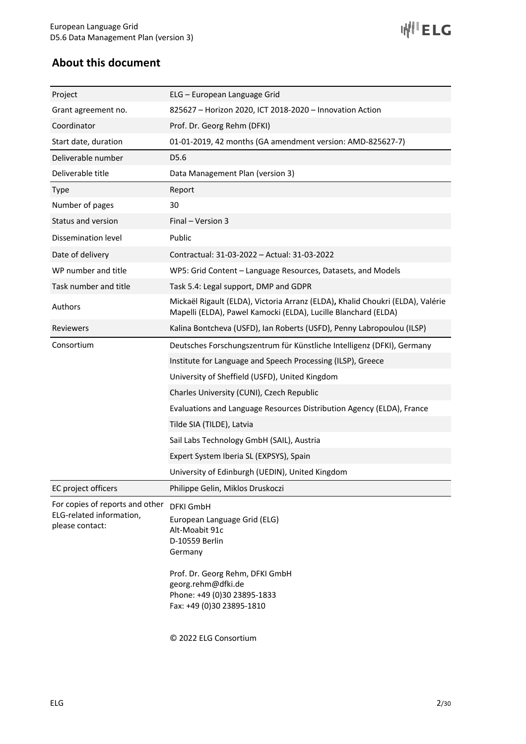**WILELG** 

# **About this document**

| Project                                                                        | ELG – European Language Grid                                                                                                                                                                                         |  |  |
|--------------------------------------------------------------------------------|----------------------------------------------------------------------------------------------------------------------------------------------------------------------------------------------------------------------|--|--|
| Grant agreement no.                                                            | 825627 - Horizon 2020, ICT 2018-2020 - Innovation Action                                                                                                                                                             |  |  |
| Coordinator                                                                    | Prof. Dr. Georg Rehm (DFKI)                                                                                                                                                                                          |  |  |
| Start date, duration                                                           | 01-01-2019, 42 months (GA amendment version: AMD-825627-7)                                                                                                                                                           |  |  |
| Deliverable number                                                             | D <sub>5.6</sub>                                                                                                                                                                                                     |  |  |
| Deliverable title                                                              | Data Management Plan (version 3)                                                                                                                                                                                     |  |  |
| <b>Type</b>                                                                    | Report                                                                                                                                                                                                               |  |  |
| Number of pages                                                                | 30                                                                                                                                                                                                                   |  |  |
| Status and version                                                             | Final - Version 3                                                                                                                                                                                                    |  |  |
| Dissemination level                                                            | Public                                                                                                                                                                                                               |  |  |
| Date of delivery                                                               | Contractual: 31-03-2022 - Actual: 31-03-2022                                                                                                                                                                         |  |  |
| WP number and title                                                            | WP5: Grid Content - Language Resources, Datasets, and Models                                                                                                                                                         |  |  |
| Task number and title                                                          | Task 5.4: Legal support, DMP and GDPR                                                                                                                                                                                |  |  |
| Authors                                                                        | Mickaël Rigault (ELDA), Victoria Arranz (ELDA), Khalid Choukri (ELDA), Valérie<br>Mapelli (ELDA), Pawel Kamocki (ELDA), Lucille Blanchard (ELDA)                                                                     |  |  |
| Reviewers                                                                      | Kalina Bontcheva (USFD), Ian Roberts (USFD), Penny Labropoulou (ILSP)                                                                                                                                                |  |  |
| Consortium                                                                     | Deutsches Forschungszentrum für Künstliche Intelligenz (DFKI), Germany                                                                                                                                               |  |  |
|                                                                                | Institute for Language and Speech Processing (ILSP), Greece                                                                                                                                                          |  |  |
|                                                                                | University of Sheffield (USFD), United Kingdom                                                                                                                                                                       |  |  |
|                                                                                | Charles University (CUNI), Czech Republic                                                                                                                                                                            |  |  |
|                                                                                | Evaluations and Language Resources Distribution Agency (ELDA), France                                                                                                                                                |  |  |
|                                                                                | Tilde SIA (TILDE), Latvia                                                                                                                                                                                            |  |  |
|                                                                                | Sail Labs Technology GmbH (SAIL), Austria                                                                                                                                                                            |  |  |
|                                                                                | Expert System Iberia SL (EXPSYS), Spain                                                                                                                                                                              |  |  |
|                                                                                | University of Edinburgh (UEDIN), United Kingdom                                                                                                                                                                      |  |  |
| EC project officers                                                            | Philippe Gelin, Miklos Druskoczi                                                                                                                                                                                     |  |  |
| For copies of reports and other<br>ELG-related information,<br>please contact: | <b>DFKI GmbH</b><br>European Language Grid (ELG)<br>Alt-Moabit 91c<br>D-10559 Berlin<br>Germany<br>Prof. Dr. Georg Rehm, DFKI GmbH<br>georg.rehm@dfki.de<br>Phone: +49 (0)30 23895-1833<br>Fax: +49 (0)30 23895-1810 |  |  |
|                                                                                |                                                                                                                                                                                                                      |  |  |

© 2022 ELG Consortium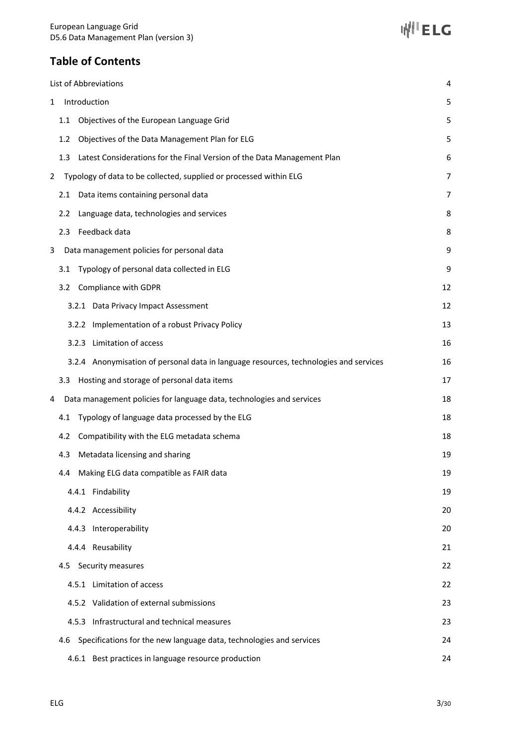# **Table of Contents**

| List of Abbreviations                                                                 | 4              |
|---------------------------------------------------------------------------------------|----------------|
| Introduction<br>$\mathbf{1}$                                                          | 5              |
| Objectives of the European Language Grid<br>1.1                                       | 5              |
| Objectives of the Data Management Plan for ELG<br>1.2 <sub>2</sub>                    | 5              |
| Latest Considerations for the Final Version of the Data Management Plan<br>1.3        | 6              |
| Typology of data to be collected, supplied or processed within ELG<br>$\overline{2}$  | $\overline{7}$ |
| Data items containing personal data<br>2.1                                            | 7              |
| Language data, technologies and services<br>2.2                                       | 8              |
| 2.3 Feedback data                                                                     | 8              |
| Data management policies for personal data<br>3                                       | 9              |
| Typology of personal data collected in ELG<br>3.1                                     | 9              |
| Compliance with GDPR<br>3.2                                                           | 12             |
| 3.2.1 Data Privacy Impact Assessment                                                  | 12             |
| 3.2.2 Implementation of a robust Privacy Policy                                       | 13             |
| 3.2.3 Limitation of access                                                            | 16             |
| 3.2.4 Anonymisation of personal data in language resources, technologies and services | 16             |
| 3.3 Hosting and storage of personal data items                                        | 17             |
| Data management policies for language data, technologies and services<br>4            | 18             |
| Typology of language data processed by the ELG<br>4.1                                 | 18             |
| Compatibility with the ELG metadata schema<br>4.2                                     | 18             |
| Metadata licensing and sharing<br>4.3                                                 | 19             |
| 4.4 Making ELG data compatible as FAIR data                                           | 19             |
| 4.4.1 Findability                                                                     | 19             |
| 4.4.2 Accessibility                                                                   | 20             |
| 4.4.3 Interoperability                                                                | 20             |
| 4.4.4 Reusability                                                                     | 21             |
| Security measures<br>4.5                                                              | 22             |
| 4.5.1 Limitation of access                                                            | 22             |
| 4.5.2 Validation of external submissions                                              | 23             |
| 4.5.3 Infrastructural and technical measures                                          | 23             |
| Specifications for the new language data, technologies and services<br>4.6            | 24             |
| 4.6.1 Best practices in language resource production                                  | 24             |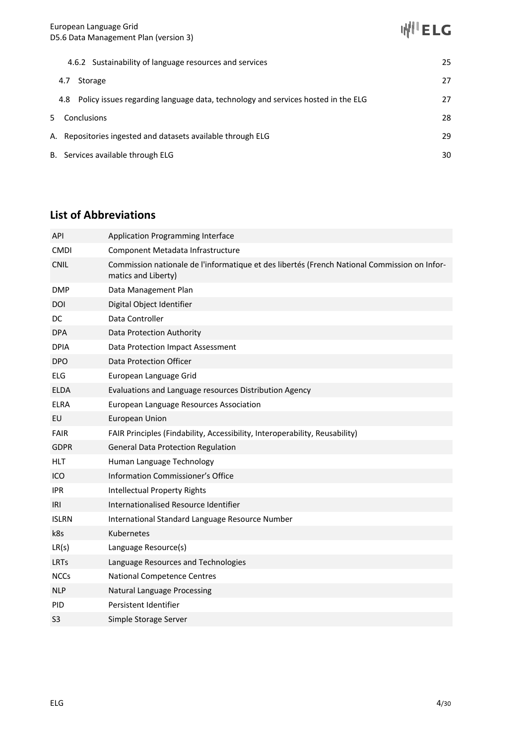4.6.2 Sustainability of language resources and services 25 4.7 Storage 27 4.8 Policy issues regarding language data, technology and services hosted in the ELG 27 5 Conclusions 28 A. Repositories ingested and datasets available through ELG 29 B. Services available through ELG 30

# **List of Abbreviations**

| <b>API</b>     | Application Programming Interface                                                                                   |
|----------------|---------------------------------------------------------------------------------------------------------------------|
| <b>CMDI</b>    | Component Metadata Infrastructure                                                                                   |
| <b>CNIL</b>    | Commission nationale de l'informatique et des libertés (French National Commission on Infor-<br>matics and Liberty) |
| <b>DMP</b>     | Data Management Plan                                                                                                |
| DOI            | Digital Object Identifier                                                                                           |
| DC             | Data Controller                                                                                                     |
| DPA            | Data Protection Authority                                                                                           |
| <b>DPIA</b>    | Data Protection Impact Assessment                                                                                   |
| <b>DPO</b>     | Data Protection Officer                                                                                             |
| <b>ELG</b>     | European Language Grid                                                                                              |
| <b>ELDA</b>    | Evaluations and Language resources Distribution Agency                                                              |
| <b>ELRA</b>    | European Language Resources Association                                                                             |
| EU             | European Union                                                                                                      |
| <b>FAIR</b>    | FAIR Principles (Findability, Accessibility, Interoperability, Reusability)                                         |
| <b>GDPR</b>    | <b>General Data Protection Regulation</b>                                                                           |
| HLT            | Human Language Technology                                                                                           |
| ICO            | Information Commissioner's Office                                                                                   |
| IPR.           | <b>Intellectual Property Rights</b>                                                                                 |
| IRI            | Internationalised Resource Identifier                                                                               |
| <b>ISLRN</b>   | International Standard Language Resource Number                                                                     |
| k8s            | Kubernetes                                                                                                          |
| LR(s)          | Language Resource(s)                                                                                                |
| <b>LRTs</b>    | Language Resources and Technologies                                                                                 |
| <b>NCCs</b>    | <b>National Competence Centres</b>                                                                                  |
| <b>NLP</b>     | Natural Language Processing                                                                                         |
| PID            | Persistent Identifier                                                                                               |
| S <sub>3</sub> | Simple Storage Server                                                                                               |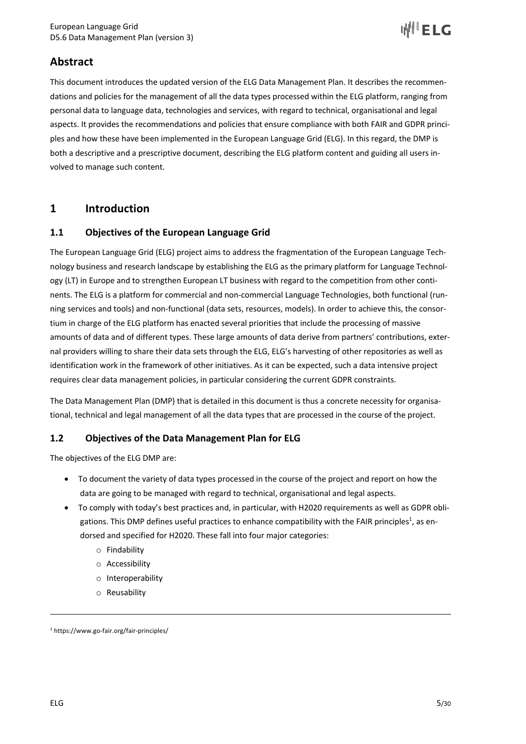

# **Abstract**

This document introduces the updated version of the ELG Data Management Plan. It describes the recommendations and policies for the management of all the data types processed within the ELG platform, ranging from personal data to language data, technologies and services, with regard to technical, organisational and legal aspects. It provides the recommendations and policies that ensure compliance with both FAIR and GDPR principles and how these have been implemented in the European Language Grid (ELG). In this regard, the DMP is both a descriptive and a prescriptive document, describing the ELG platform content and guiding all users involved to manage such content.

# **1 Introduction**

## **1.1 Objectives of the European Language Grid**

The European Language Grid (ELG) project aims to address the fragmentation of the European Language Technology business and research landscape by establishing the ELG as the primary platform for Language Technology (LT) in Europe and to strengthen European LT business with regard to the competition from other continents. The ELG is a platform for commercial and non-commercial Language Technologies, both functional (running services and tools) and non-functional (data sets, resources, models). In order to achieve this, the consortium in charge of the ELG platform has enacted several priorities that include the processing of massive amounts of data and of different types. These large amounts of data derive from partners' contributions, external providers willing to share their data sets through the ELG, ELG's harvesting of other repositories as well as identification work in the framework of other initiatives. As it can be expected, such a data intensive project requires clear data management policies, in particular considering the current GDPR constraints.

The Data Management Plan (DMP) that is detailed in this document is thus a concrete necessity for organisational, technical and legal management of all the data types that are processed in the course of the project.

#### **1.2 Objectives of the Data Management Plan for ELG**

The objectives of the ELG DMP are:

- To document the variety of data types processed in the course of the project and report on how the data are going to be managed with regard to technical, organisational and legal aspects.
- To comply with today's best practices and, in particular, with H2020 requirements as well as GDPR obligations. This DMP defines useful practices to enhance compatibility with the FAIR principles<sup>1</sup>, as endorsed and specified for H2020. These fall into four major categories:
	- o Findability
	- o Accessibility
	- o Interoperability
	- o Reusability

<sup>1</sup> https://www.go-fair.org/fair-principles/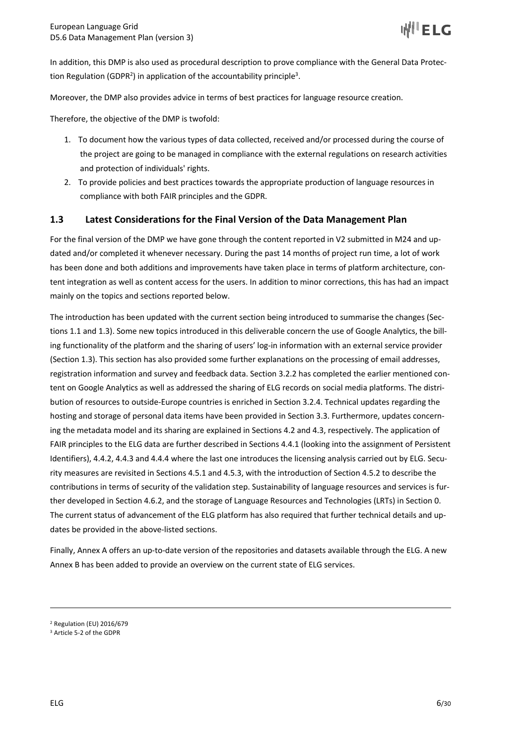In addition, this DMP is also used as procedural description to prove compliance with the General Data Protection Regulation (GDPR<sup>2</sup>) in application of the accountability principle<sup>3</sup>.

Moreover, the DMP also provides advice in terms of best practices for language resource creation.

Therefore, the objective of the DMP is twofold:

- 1. To document how the various types of data collected, received and/or processed during the course of the project are going to be managed in compliance with the external regulations on research activities and protection of individuals' rights.
- 2. To provide policies and best practices towards the appropriate production of language resources in compliance with both FAIR principles and the GDPR.

## **1.3 Latest Considerations for the Final Version of the Data Management Plan**

For the final version of the DMP we have gone through the content reported in V2 submitted in M24 and updated and/or completed it whenever necessary. During the past 14 months of project run time, a lot of work has been done and both additions and improvements have taken place in terms of platform architecture, content integration as well as content access for the users. In addition to minor corrections, this has had an impact mainly on the topics and sections reported below.

The introduction has been updated with the current section being introduced to summarise the changes (Sections 1.1 and 1.3). Some new topics introduced in this deliverable concern the use of Google Analytics, the billing functionality of the platform and the sharing of users' log-in information with an external service provider (Section 1.3). This section has also provided some further explanations on the processing of email addresses, registration information and survey and feedback data. Section 3.2.2 has completed the earlier mentioned content on Google Analytics as well as addressed the sharing of ELG records on social media platforms. The distribution of resources to outside-Europe countries is enriched in Section 3.2.4. Technical updates regarding the hosting and storage of personal data items have been provided in Section 3.3. Furthermore, updates concerning the metadata model and its sharing are explained in Sections 4.2 and 4.3, respectively. The application of FAIR principles to the ELG data are further described in Sections 4.4.1 (looking into the assignment of Persistent Identifiers), 4.4.2, 4.4.3 and 4.4.4 where the last one introduces the licensing analysis carried out by ELG. Security measures are revisited in Sections 4.5.1 and 4.5.3, with the introduction of Section 4.5.2 to describe the contributions in terms of security of the validation step. Sustainability of language resources and services is further developed in Section 4.6.2, and the storage of Language Resources and Technologies (LRTs) in Section 0. The current status of advancement of the ELG platform has also required that further technical details and updates be provided in the above-listed sections.

Finally, Annex A offers an up-to-date version of the repositories and datasets available through the ELG. A new Annex B has been added to provide an overview on the current state of ELG services.

<sup>2</sup> Regulation (EU) 2016/679

<sup>3</sup> Article 5-2 of the GDPR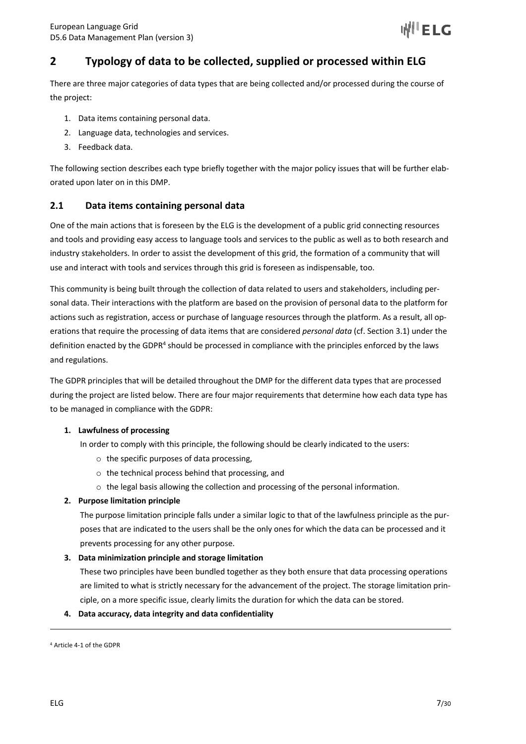# **2 Typology of data to be collected, supplied or processed within ELG**

There are three major categories of data types that are being collected and/or processed during the course of the project:

- 1. Data items containing personal data.
- 2. Language data, technologies and services.
- 3. Feedback data.

The following section describes each type briefly together with the major policy issues that will be further elaborated upon later on in this DMP.

#### **2.1 Data items containing personal data**

One of the main actions that is foreseen by the ELG is the development of a public grid connecting resources and tools and providing easy access to language tools and services to the public as well as to both research and industry stakeholders. In order to assist the development of this grid, the formation of a community that will use and interact with tools and services through this grid is foreseen as indispensable, too.

This community is being built through the collection of data related to users and stakeholders, including personal data. Their interactions with the platform are based on the provision of personal data to the platform for actions such as registration, access or purchase of language resources through the platform. As a result, all operations that require the processing of data items that are considered *personal data* (cf. Section 3.1) under the definition enacted by the GDPR<sup>4</sup> should be processed in compliance with the principles enforced by the laws and regulations.

The GDPR principles that will be detailed throughout the DMP for the different data types that are processed during the project are listed below. There are four major requirements that determine how each data type has to be managed in compliance with the GDPR:

#### **1. Lawfulness of processing**

In order to comply with this principle, the following should be clearly indicated to the users:

- o the specific purposes of data processing,
- o the technical process behind that processing, and
- o the legal basis allowing the collection and processing of the personal information.

#### **2. Purpose limitation principle**

The purpose limitation principle falls under a similar logic to that of the lawfulness principle as the purposes that are indicated to the users shall be the only ones for which the data can be processed and it prevents processing for any other purpose.

#### **3. Data minimization principle and storage limitation**

These two principles have been bundled together as they both ensure that data processing operations are limited to what is strictly necessary for the advancement of the project. The storage limitation principle, on a more specific issue, clearly limits the duration for which the data can be stored.

#### **4. Data accuracy, data integrity and data confidentiality**

<sup>4</sup> Article 4-1 of the GDPR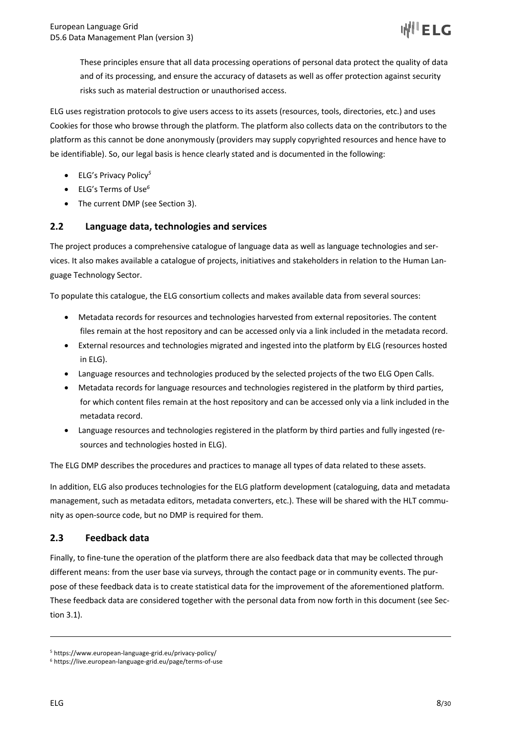These principles ensure that all data processing operations of personal data protect the quality of data and of its processing, and ensure the accuracy of datasets as well as offer protection against security risks such as material destruction or unauthorised access.

ELG uses registration protocols to give users access to its assets (resources, tools, directories, etc.) and uses Cookies for those who browse through the platform. The platform also collects data on the contributors to the platform as this cannot be done anonymously (providers may supply copyrighted resources and hence have to be identifiable). So, our legal basis is hence clearly stated and is documented in the following:

- ELG's Privacy Policy*<sup>5</sup>*
- ELG's Terms of Use*<sup>6</sup>*
- The current DMP (see Section 3).

## **2.2 Language data, technologies and services**

The project produces a comprehensive catalogue of language data as well as language technologies and services. It also makes available a catalogue of projects, initiatives and stakeholders in relation to the Human Language Technology Sector.

To populate this catalogue, the ELG consortium collects and makes available data from several sources:

- Metadata records for resources and technologies harvested from external repositories. The content files remain at the host repository and can be accessed only via a link included in the metadata record.
- External resources and technologies migrated and ingested into the platform by ELG (resources hosted in ELG).
- Language resources and technologies produced by the selected projects of the two ELG Open Calls.
- Metadata records for language resources and technologies registered in the platform by third parties, for which content files remain at the host repository and can be accessed only via a link included in the metadata record.
- Language resources and technologies registered in the platform by third parties and fully ingested (resources and technologies hosted in ELG).

The ELG DMP describes the procedures and practices to manage all types of data related to these assets.

In addition, ELG also produces technologies for the ELG platform development (cataloguing, data and metadata management, such as metadata editors, metadata converters, etc.). These will be shared with the HLT community as open-source code, but no DMP is required for them.

#### **2.3 Feedback data**

Finally, to fine-tune the operation of the platform there are also feedback data that may be collected through different means: from the user base via surveys, through the contact page or in community events. The purpose of these feedback data is to create statistical data for the improvement of the aforementioned platform. These feedback data are considered together with the personal data from now forth in this document (see Section 3.1).

<sup>5</sup> https://www.european-language-grid.eu/privacy-policy/

<sup>6</sup> https://live.european-language-grid.eu/page/terms-of-use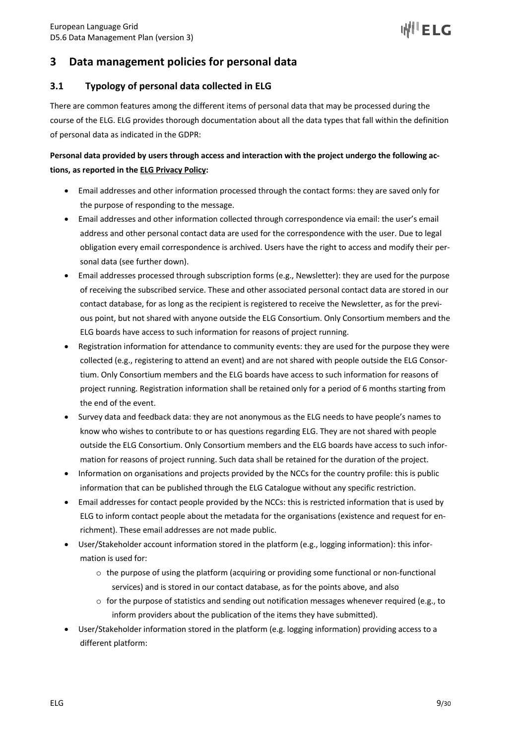

# **3 Data management policies for personal data**

## **3.1 Typology of personal data collected in ELG**

There are common features among the different items of personal data that may be processed during the course of the ELG. ELG provides thorough documentation about all the data types that fall within the definition of personal data as indicated in the GDPR:

## **Personal data provided by users through access and interaction with the project undergo the following actions, as reported in the ELG Privacy Policy:**

- Email addresses and other information processed through the contact forms: they are saved only for the purpose of responding to the message.
- Email addresses and other information collected through correspondence via email: the user's email address and other personal contact data are used for the correspondence with the user. Due to legal obligation every email correspondence is archived. Users have the right to access and modify their personal data (see further down).
- Email addresses processed through subscription forms (e.g., Newsletter): they are used for the purpose of receiving the subscribed service. These and other associated personal contact data are stored in our contact database, for as long as the recipient is registered to receive the Newsletter, as for the previous point, but not shared with anyone outside the ELG Consortium. Only Consortium members and the ELG boards have access to such information for reasons of project running.
- Registration information for attendance to community events: they are used for the purpose they were collected (e.g., registering to attend an event) and are not shared with people outside the ELG Consortium. Only Consortium members and the ELG boards have access to such information for reasons of project running. Registration information shall be retained only for a period of 6 months starting from the end of the event.
- Survey data and feedback data: they are not anonymous as the ELG needs to have people's names to know who wishes to contribute to or has questions regarding ELG. They are not shared with people outside the ELG Consortium. Only Consortium members and the ELG boards have access to such information for reasons of project running. Such data shall be retained for the duration of the project.
- Information on organisations and projects provided by the NCCs for the country profile: this is public information that can be published through the ELG Catalogue without any specific restriction.
- Email addresses for contact people provided by the NCCs: this is restricted information that is used by ELG to inform contact people about the metadata for the organisations (existence and request for enrichment). These email addresses are not made public.
- User/Stakeholder account information stored in the platform (e.g., logging information): this information is used for:
	- $\circ$  the purpose of using the platform (acquiring or providing some functional or non-functional services) and is stored in our contact database, as for the points above, and also
	- $\circ$  for the purpose of statistics and sending out notification messages whenever required (e.g., to inform providers about the publication of the items they have submitted).
- User/Stakeholder information stored in the platform (e.g. logging information) providing access to a different platform: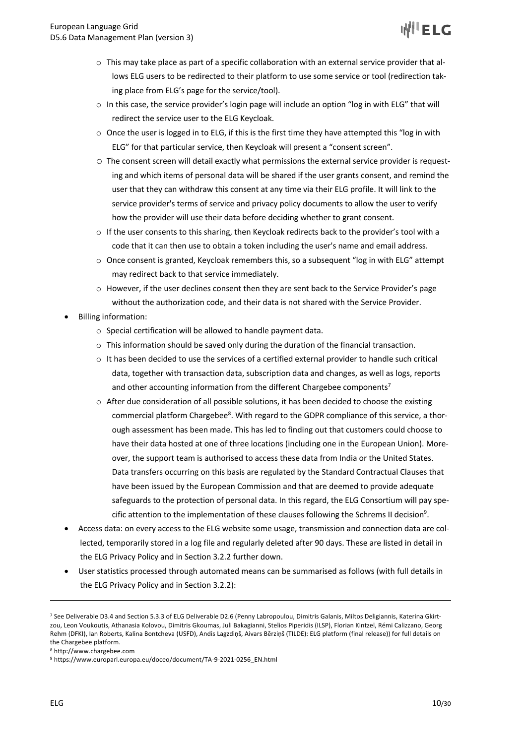- $\circ$  This may take place as part of a specific collaboration with an external service provider that allows ELG users to be redirected to their platform to use some service or tool (redirection taking place from ELG's page for the service/tool).
- o In this case, the service provider's login page will include an option "log in with ELG" that will redirect the service user to the ELG Keycloak.
- $\circ$  Once the user is logged in to ELG, if this is the first time they have attempted this "log in with ELG" for that particular service, then Keycloak will present a "consent screen".
- o The consent screen will detail exactly what permissions the external service provider is requesting and which items of personal data will be shared if the user grants consent, and remind the user that they can withdraw this consent at any time via their ELG profile. It will link to the service provider's terms of service and privacy policy documents to allow the user to verify how the provider will use their data before deciding whether to grant consent.
- $\circ$  If the user consents to this sharing, then Keycloak redirects back to the provider's tool with a code that it can then use to obtain a token including the user's name and email address.
- $\circ$  Once consent is granted, Keycloak remembers this, so a subsequent "log in with ELG" attempt may redirect back to that service immediately.
- $\circ$  However, if the user declines consent then they are sent back to the Service Provider's page without the authorization code, and their data is not shared with the Service Provider.
- Billing information:
	- o Special certification will be allowed to handle payment data.
	- $\circ$  This information should be saved only during the duration of the financial transaction.
	- $\circ$  It has been decided to use the services of a certified external provider to handle such critical data, together with transaction data, subscription data and changes, as well as logs, reports and other accounting information from the different Chargebee components<sup>7</sup>
	- $\circ$  After due consideration of all possible solutions, it has been decided to choose the existing commercial platform Chargebee<sup>8</sup>. With regard to the GDPR compliance of this service, a thorough assessment has been made. This has led to finding out that customers could choose to have their data hosted at one of three locations (including one in the European Union). Moreover, the support team is authorised to access these data from India or the United States. Data transfers occurring on this basis are regulated by the Standard Contractual Clauses that have been issued by the European Commission and that are deemed to provide adequate safeguards to the protection of personal data. In this regard, the ELG Consortium will pay specific attention to the implementation of these clauses following the Schrems II decision<sup>9</sup>.
- Access data: on every access to the ELG website some usage, transmission and connection data are collected, temporarily stored in a log file and regularly deleted after 90 days. These are listed in detail in the ELG Privacy Policy and in Section 3.2.2 further down.
- User statistics processed through automated means can be summarised as follows (with full details in the ELG Privacy Policy and in Section 3.2.2):

<sup>7</sup> See Deliverable D3.4 and Section 5.3.3 of ELG Deliverable D2.6 (Penny Labropoulou, Dimitris Galanis, Miltos Deligiannis, Katerina Gkirtzou, Leon Voukoutis, Athanasia Kolovou, Dimitris Gkoumas, Juli Bakagianni, Stelios Piperidis (ILSP), Florian Kintzel, Rémi Calizzano, Georg Rehm (DFKI), Ian Roberts, Kalina Bontcheva (USFD), Andis Lagzdiņš, Aivars Bērziņš (TILDE): ELG platform (final release)) for full details on the Chargebee platform.

<sup>8</sup> http://www.chargebee.com

<sup>9</sup> https://www.europarl.europa.eu/doceo/document/TA-9-2021-0256\_EN.html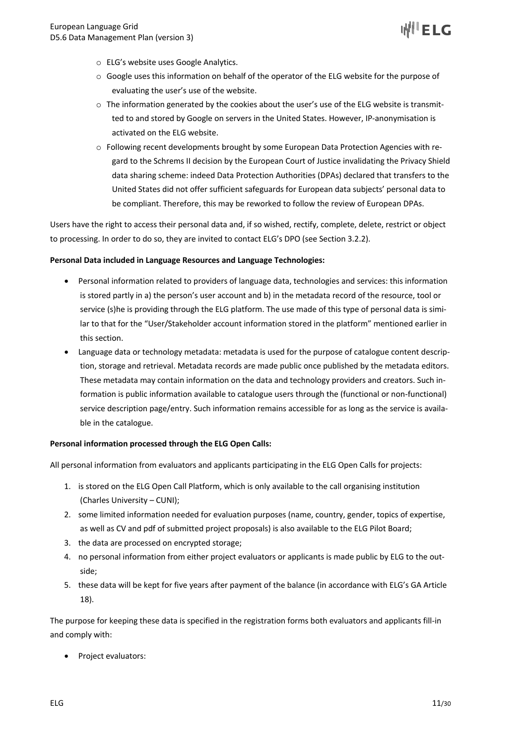

- o ELG's website uses Google Analytics.
- $\circ$  Google uses this information on behalf of the operator of the ELG website for the purpose of evaluating the user's use of the website.
- $\circ$  The information generated by the cookies about the user's use of the ELG website is transmitted to and stored by Google on servers in the United States. However, IP-anonymisation is activated on the ELG website.
- o Following recent developments brought by some European Data Protection Agencies with regard to the Schrems II decision by the European Court of Justice invalidating the Privacy Shield data sharing scheme: indeed Data Protection Authorities (DPAs) declared that transfers to the United States did not offer sufficient safeguards for European data subjects' personal data to be compliant. Therefore, this may be reworked to follow the review of European DPAs.

Users have the right to access their personal data and, if so wished, rectify, complete, delete, restrict or object to processing. In order to do so, they are invited to contact ELG's DPO (see Section 3.2.2).

#### **Personal Data included in Language Resources and Language Technologies:**

- Personal information related to providers of language data, technologies and services: this information is stored partly in a) the person's user account and b) in the metadata record of the resource, tool or service (s)he is providing through the ELG platform. The use made of this type of personal data is similar to that for the "User/Stakeholder account information stored in the platform" mentioned earlier in this section.
- Language data or technology metadata: metadata is used for the purpose of catalogue content description, storage and retrieval. Metadata records are made public once published by the metadata editors. These metadata may contain information on the data and technology providers and creators. Such information is public information available to catalogue users through the (functional or non-functional) service description page/entry. Such information remains accessible for as long as the service is available in the catalogue.

#### **Personal information processed through the ELG Open Calls:**

All personal information from evaluators and applicants participating in the ELG Open Calls for projects:

- 1. is stored on the ELG Open Call Platform, which is only available to the call organising institution (Charles University – CUNI);
- 2. some limited information needed for evaluation purposes (name, country, gender, topics of expertise, as well as CV and pdf of submitted project proposals) is also available to the ELG Pilot Board;
- 3. the data are processed on encrypted storage;
- 4. no personal information from either project evaluators or applicants is made public by ELG to the outside;
- 5. these data will be kept for five years after payment of the balance (in accordance with ELG's GA Article 18).

The purpose for keeping these data is specified in the registration forms both evaluators and applicants fill-in and comply with:

• Project evaluators: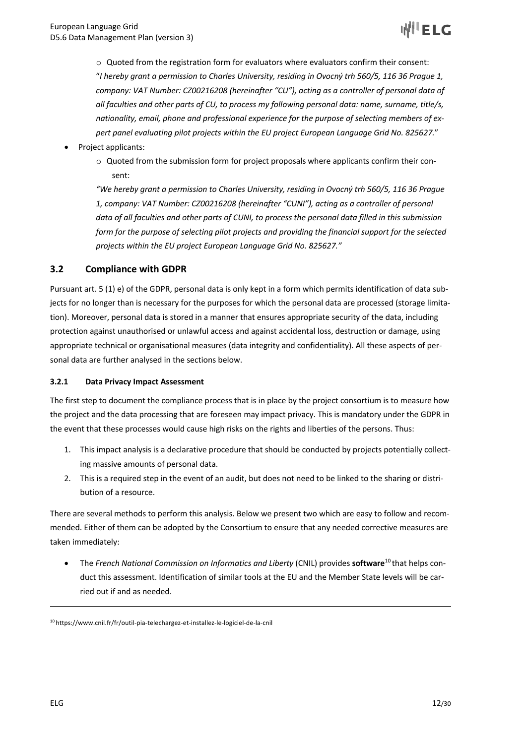

 $\circ$  Quoted from the registration form for evaluators where evaluators confirm their consent: "*I hereby grant a permission to Charles University, residing in Ovocný trh 560/5, 116 36 Prague 1, company: VAT Number: CZ00216208 (hereinafter "CU"), acting as a controller of personal data of all faculties and other parts of CU, to process my following personal data: name, surname, title/s, nationality, email, phone and professional experience for the purpose of selecting members of expert panel evaluating pilot projects within the EU project European Language Grid No. 825627.*"

- Project applicants:
	- $\circ$  Quoted from the submission form for project proposals where applicants confirm their consent:

*"We hereby grant a permission to Charles University, residing in Ovocný trh 560/5, 116 36 Prague 1, company: VAT Number: CZ00216208 (hereinafter "CUNI"), acting as a controller of personal* data of all faculties and other parts of CUNI, to process the personal data filled in this submission *form for the purpose of selecting pilot projects and providing the financial support for the selected projects within the EU project European Language Grid No. 825627."*

## **3.2 Compliance with GDPR**

Pursuant art. 5 (1) e) of the GDPR, personal data is only kept in a form which permits identification of data subjects for no longer than is necessary for the purposes for which the personal data are processed (storage limitation). Moreover, personal data is stored in a manner that ensures appropriate security of the data, including protection against unauthorised or unlawful access and against accidental loss, destruction or damage, using appropriate technical or organisational measures (data integrity and confidentiality). All these aspects of personal data are further analysed in the sections below.

#### **3.2.1 Data Privacy Impact Assessment**

The first step to document the compliance process that is in place by the project consortium is to measure how the project and the data processing that are foreseen may impact privacy. This is mandatory under the GDPR in the event that these processes would cause high risks on the rights and liberties of the persons. Thus:

- 1. This impact analysis is a declarative procedure that should be conducted by projects potentially collecting massive amounts of personal data.
- 2. This is a required step in the event of an audit, but does not need to be linked to the sharing or distribution of a resource.

There are several methods to perform this analysis. Below we present two which are easy to follow and recommended. Either of them can be adopted by the Consortium to ensure that any needed corrective measures are taken immediately:

• The *French National Commission on Informatics and Liberty* (CNIL) provides **software**<sup>10</sup> that helps conduct this assessment. Identification of similar tools at the EU and the Member State levels will be carried out if and as needed.

<sup>10</sup> https://www.cnil.fr/fr/outil-pia-telechargez-et-installez-le-logiciel-de-la-cnil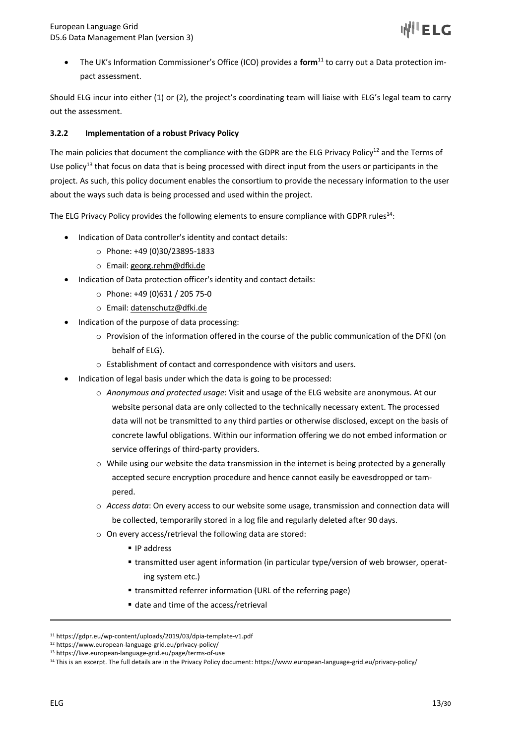• The UK's Information Commissioner's Office (ICO) provides a **form**<sup>11</sup> to carry out a Data protection impact assessment.

Should ELG incur into either (1) or (2), the project's coordinating team will liaise with ELG's legal team to carry out the assessment.

#### **3.2.2 Implementation of a robust Privacy Policy**

The main policies that document the compliance with the GDPR are the ELG Privacy Policy<sup>12</sup> and the Terms of Use policy<sup>13</sup> that focus on data that is being processed with direct input from the users or participants in the project. As such, this policy document enables the consortium to provide the necessary information to the user about the ways such data is being processed and used within the project.

The ELG Privacy Policy provides the following elements to ensure compliance with GDPR rules<sup>14</sup>:

- Indication of Data controller's identity and contact details:
	- o Phone: +49 (0)30/23895-1833
	- o Email: georg.rehm@dfki.de
- Indication of Data protection officer's identity and contact details:
	- o Phone: +49 (0)631 / 205 75-0
	- o Email: datenschutz@dfki.de
- Indication of the purpose of data processing:
	- o Provision of the information offered in the course of the public communication of the DFKI (on behalf of ELG).
	- o Establishment of contact and correspondence with visitors and users.
- Indication of legal basis under which the data is going to be processed:
	- o *Anonymous and protected usage*: Visit and usage of the ELG website are anonymous. At our website personal data are only collected to the technically necessary extent. The processed data will not be transmitted to any third parties or otherwise disclosed, except on the basis of concrete lawful obligations. Within our information offering we do not embed information or service offerings of third-party providers.
	- $\circ$  While using our website the data transmission in the internet is being protected by a generally accepted secure encryption procedure and hence cannot easily be eavesdropped or tampered.
	- o *Access data*: On every access to our website some usage, transmission and connection data will be collected, temporarily stored in a log file and regularly deleted after 90 days.
	- o On every access/retrieval the following data are stored:
		- IP address
		- transmitted user agent information (in particular type/version of web browser, operating system etc.)
		- transmitted referrer information (URL of the referring page)
		- date and time of the access/retrieval

<sup>11</sup> https://gdpr.eu/wp-content/uploads/2019/03/dpia-template-v1.pdf

<sup>12</sup> https://www.european-language-grid.eu/privacy-policy/

<sup>13</sup> https://live.european-language-grid.eu/page/terms-of-use

<sup>&</sup>lt;sup>14</sup> This is an excerpt. The full details are in the Privacy Policy document: https://www.european-language-grid.eu/privacy-policy/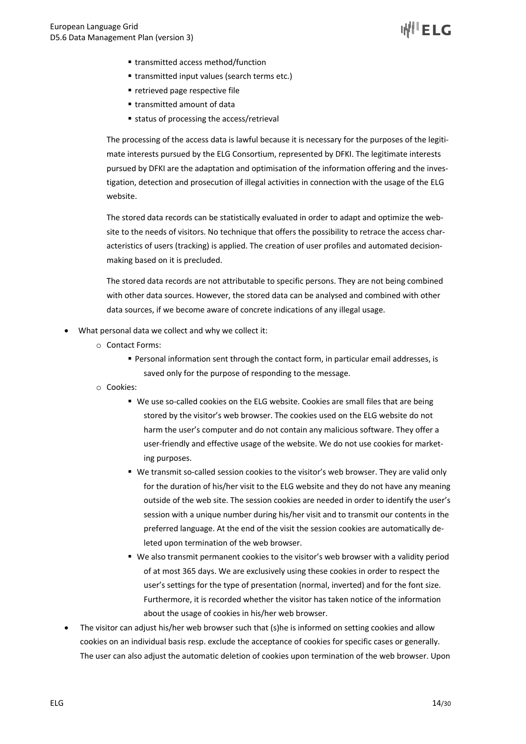- transmitted access method/function
- transmitted input values (search terms etc.)
- retrieved page respective file
- transmitted amount of data
- status of processing the access/retrieval

The processing of the access data is lawful because it is necessary for the purposes of the legitimate interests pursued by the ELG Consortium, represented by DFKI. The legitimate interests pursued by DFKI are the adaptation and optimisation of the information offering and the investigation, detection and prosecution of illegal activities in connection with the usage of the ELG website.

The stored data records can be statistically evaluated in order to adapt and optimize the website to the needs of visitors. No technique that offers the possibility to retrace the access characteristics of users (tracking) is applied. The creation of user profiles and automated decisionmaking based on it is precluded.

The stored data records are not attributable to specific persons. They are not being combined with other data sources. However, the stored data can be analysed and combined with other data sources, if we become aware of concrete indications of any illegal usage.

- What personal data we collect and why we collect it:
	- o Contact Forms:
		- § Personal information sent through the contact form, in particular email addresses, is saved only for the purpose of responding to the message.
	- o Cookies:
		- We use so-called cookies on the ELG website. Cookies are small files that are being stored by the visitor's web browser. The cookies used on the ELG website do not harm the user's computer and do not contain any malicious software. They offer a user-friendly and effective usage of the website. We do not use cookies for marketing purposes.
		- We transmit so-called session cookies to the visitor's web browser. They are valid only for the duration of his/her visit to the ELG website and they do not have any meaning outside of the web site. The session cookies are needed in order to identify the user's session with a unique number during his/her visit and to transmit our contents in the preferred language. At the end of the visit the session cookies are automatically deleted upon termination of the web browser.
		- § We also transmit permanent cookies to the visitor's web browser with a validity period of at most 365 days. We are exclusively using these cookies in order to respect the user's settings for the type of presentation (normal, inverted) and for the font size. Furthermore, it is recorded whether the visitor has taken notice of the information about the usage of cookies in his/her web browser.
- The visitor can adjust his/her web browser such that (s)he is informed on setting cookies and allow cookies on an individual basis resp. exclude the acceptance of cookies for specific cases or generally. The user can also adjust the automatic deletion of cookies upon termination of the web browser. Upon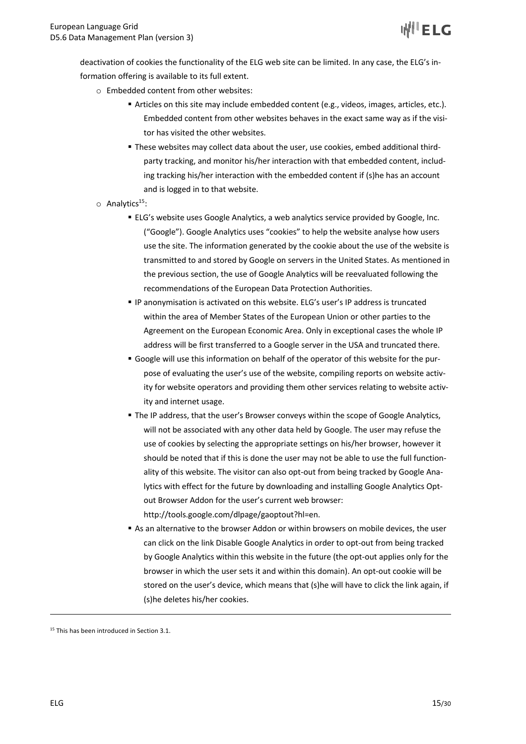deactivation of cookies the functionality of the ELG web site can be limited. In any case, the ELG's information offering is available to its full extent.

- o Embedded content from other websites:
	- § Articles on this site may include embedded content (e.g., videos, images, articles, etc.). Embedded content from other websites behaves in the exact same way as if the visitor has visited the other websites.
	- § These websites may collect data about the user, use cookies, embed additional thirdparty tracking, and monitor his/her interaction with that embedded content, including tracking his/her interaction with the embedded content if (s)he has an account and is logged in to that website.
- $\circ$  Analytics<sup>15</sup>:
	- ELG's website uses Google Analytics, a web analytics service provided by Google, Inc. ("Google"). Google Analytics uses "cookies" to help the website analyse how users use the site. The information generated by the cookie about the use of the website is transmitted to and stored by Google on servers in the United States. As mentioned in the previous section, the use of Google Analytics will be reevaluated following the recommendations of the European Data Protection Authorities.
	- § IP anonymisation is activated on this website. ELG's user's IP address is truncated within the area of Member States of the European Union or other parties to the Agreement on the European Economic Area. Only in exceptional cases the whole IP address will be first transferred to a Google server in the USA and truncated there.
	- § Google will use this information on behalf of the operator of this website for the purpose of evaluating the user's use of the website, compiling reports on website activity for website operators and providing them other services relating to website activity and internet usage.
	- **The IP address, that the user's Browser conveys within the scope of Google Analytics,** will not be associated with any other data held by Google. The user may refuse the use of cookies by selecting the appropriate settings on his/her browser, however it should be noted that if this is done the user may not be able to use the full functionality of this website. The visitor can also opt-out from being tracked by Google Analytics with effect for the future by downloading and installing Google Analytics Optout Browser Addon for the user's current web browser: http://tools.google.com/dlpage/gaoptout?hl=en.
	- § As an alternative to the browser Addon or within browsers on mobile devices, the user can click on the link Disable Google Analytics in order to opt-out from being tracked by Google Analytics within this website in the future (the opt-out applies only for the browser in which the user sets it and within this domain). An opt-out cookie will be stored on the user's device, which means that (s)he will have to click the link again, if (s)he deletes his/her cookies.

<sup>&</sup>lt;sup>15</sup> This has been introduced in Section 3.1.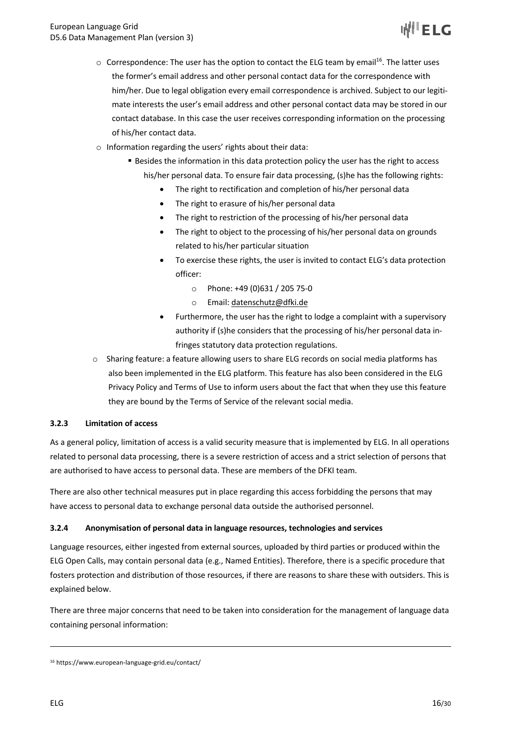- $\circ$  Correspondence: The user has the option to contact the ELG team by email<sup>16</sup>. The latter uses the former's email address and other personal contact data for the correspondence with him/her. Due to legal obligation every email correspondence is archived. Subject to our legitimate interests the user's email address and other personal contact data may be stored in our contact database. In this case the user receives corresponding information on the processing of his/her contact data.
- o Information regarding the users' rights about their data:
	- Besides the information in this data protection policy the user has the right to access his/her personal data. To ensure fair data processing, (s)he has the following rights:
		- The right to rectification and completion of his/her personal data
		- The right to erasure of his/her personal data
		- The right to restriction of the processing of his/her personal data
		- The right to object to the processing of his/her personal data on grounds related to his/her particular situation
		- To exercise these rights, the user is invited to contact ELG's data protection officer:
			- o Phone: +49 (0)631 / 205 75-0
			- o Email: datenschutz@dfki.de
		- Furthermore, the user has the right to lodge a complaint with a supervisory authority if (s)he considers that the processing of his/her personal data infringes statutory data protection regulations.
- $\circ$  Sharing feature: a feature allowing users to share ELG records on social media platforms has also been implemented in the ELG platform. This feature has also been considered in the ELG Privacy Policy and Terms of Use to inform users about the fact that when they use this feature they are bound by the Terms of Service of the relevant social media.

#### **3.2.3 Limitation of access**

As a general policy, limitation of access is a valid security measure that is implemented by ELG. In all operations related to personal data processing, there is a severe restriction of access and a strict selection of persons that are authorised to have access to personal data. These are members of the DFKI team.

There are also other technical measures put in place regarding this access forbidding the persons that may have access to personal data to exchange personal data outside the authorised personnel.

#### **3.2.4 Anonymisation of personal data in language resources, technologies and services**

Language resources, either ingested from external sources, uploaded by third parties or produced within the ELG Open Calls, may contain personal data (e.g., Named Entities). Therefore, there is a specific procedure that fosters protection and distribution of those resources, if there are reasons to share these with outsiders. This is explained below.

There are three major concerns that need to be taken into consideration for the management of language data containing personal information:

<sup>16</sup> https://www.european-language-grid.eu/contact/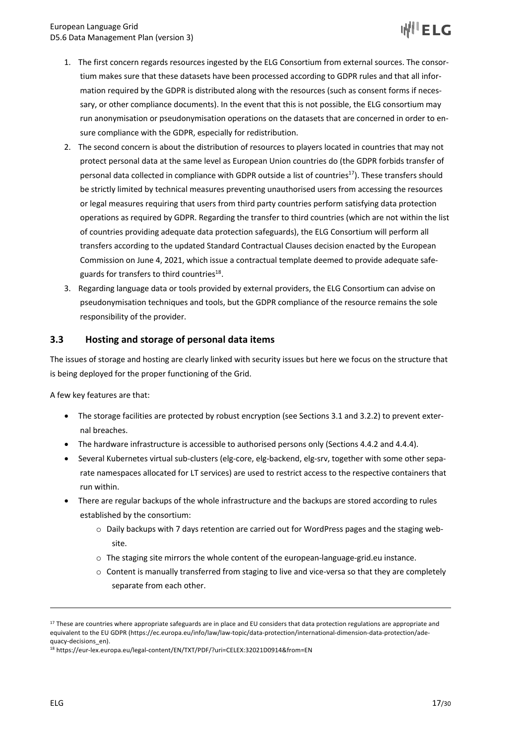- 1. The first concern regards resources ingested by the ELG Consortium from external sources. The consortium makes sure that these datasets have been processed according to GDPR rules and that all information required by the GDPR is distributed along with the resources (such as consent forms if necessary, or other compliance documents). In the event that this is not possible, the ELG consortium may run anonymisation or pseudonymisation operations on the datasets that are concerned in order to ensure compliance with the GDPR, especially for redistribution.
- 2. The second concern is about the distribution of resources to players located in countries that may not protect personal data at the same level as European Union countries do (the GDPR forbids transfer of personal data collected in compliance with GDPR outside a list of countries<sup>17</sup>). These transfers should be strictly limited by technical measures preventing unauthorised users from accessing the resources or legal measures requiring that users from third party countries perform satisfying data protection operations as required by GDPR. Regarding the transfer to third countries (which are not within the list of countries providing adequate data protection safeguards), the ELG Consortium will perform all transfers according to the updated Standard Contractual Clauses decision enacted by the European Commission on June 4, 2021, which issue a contractual template deemed to provide adequate safeguards for transfers to third countries $^{18}$ .
- 3. Regarding language data or tools provided by external providers, the ELG Consortium can advise on pseudonymisation techniques and tools, but the GDPR compliance of the resource remains the sole responsibility of the provider.

## **3.3 Hosting and storage of personal data items**

The issues of storage and hosting are clearly linked with security issues but here we focus on the structure that is being deployed for the proper functioning of the Grid.

A few key features are that:

- The storage facilities are protected by robust encryption (see Sections 3.1 and 3.2.2) to prevent external breaches.
- The hardware infrastructure is accessible to authorised persons only (Sections 4.4.2 and 4.4.4).
- Several Kubernetes virtual sub-clusters (elg-core, elg-backend, elg-srv, together with some other separate namespaces allocated for LT services) are used to restrict access to the respective containers that run within.
- There are regular backups of the whole infrastructure and the backups are stored according to rules established by the consortium:
	- o Daily backups with 7 days retention are carried out for WordPress pages and the staging website.
	- $\circ$  The staging site mirrors the whole content of the european-language-grid.eu instance.
	- o Content is manually transferred from staging to live and vice-versa so that they are completely separate from each other.

<sup>&</sup>lt;sup>17</sup> These are countries where appropriate safeguards are in place and EU considers that data protection regulations are appropriate and equivalent to the EU GDPR (https://ec.europa.eu/info/law/law-topic/data-protection/international-dimension-data-protection/adequacy-decisions\_en).

<sup>18</sup> https://eur-lex.europa.eu/legal-content/EN/TXT/PDF/?uri=CELEX:32021D0914&from=EN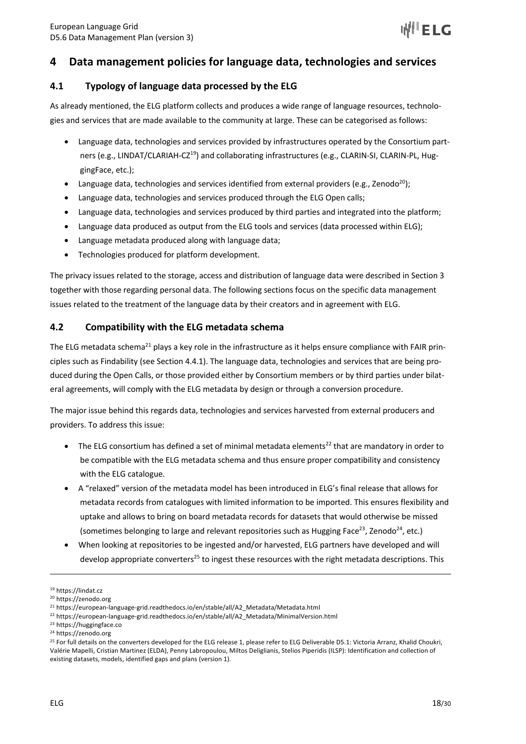# **4 Data management policies for language data, technologies and services**

## **4.1 Typology of language data processed by the ELG**

As already mentioned, the ELG platform collects and produces a wide range of language resources, technologies and services that are made available to the community at large. These can be categorised as follows:

- Language data, technologies and services provided by infrastructures operated by the Consortium partners (e.g., LINDAT/CLARIAH-CZ<sup>19</sup>) and collaborating infrastructures (e.g., CLARIN-SI, CLARIN-PL, HuggingFace, etc.);
- Language data, technologies and services identified from external providers (e.g., Zenodo<sup>20</sup>);
- Language data, technologies and services produced through the ELG Open calls;
- Language data, technologies and services produced by third parties and integrated into the platform;
- Language data produced as output from the ELG tools and services (data processed within ELG);
- Language metadata produced along with language data;
- Technologies produced for platform development.

The privacy issues related to the storage, access and distribution of language data were described in Section 3 together with those regarding personal data. The following sections focus on the specific data management issues related to the treatment of the language data by their creators and in agreement with ELG.

## **4.2 Compatibility with the ELG metadata schema**

The ELG metadata schema<sup>21</sup> plays a key role in the infrastructure as it helps ensure compliance with FAIR principles such as Findability (see Section 4.4.1). The language data, technologies and services that are being produced during the Open Calls, or those provided either by Consortium members or by third parties under bilateral agreements, will comply with the ELG metadata by design or through a conversion procedure.

The major issue behind this regards data, technologies and services harvested from external producers and providers. To address this issue:

- The ELG consortium has defined a set of minimal metadata elements<sup>22</sup> that are mandatory in order to be compatible with the ELG metadata schema and thus ensure proper compatibility and consistency with the ELG catalogue.
- A "relaxed" version of the metadata model has been introduced in ELG's final release that allows for metadata records from catalogues with limited information to be imported. This ensures flexibility and uptake and allows to bring on board metadata records for datasets that would otherwise be missed (sometimes belonging to large and relevant repositories such as Hugging Face<sup>23</sup>, Zenodo<sup>24</sup>, etc.)
- When looking at repositories to be ingested and/or harvested, ELG partners have developed and will develop appropriate converters<sup>25</sup> to ingest these resources with the right metadata descriptions. This

<sup>19</sup> https://lindat.cz

<sup>20</sup> https://zenodo.org

<sup>21</sup> https://european-language-grid.readthedocs.io/en/stable/all/A2\_Metadata/Metadata.html

<sup>22</sup> https://european-language-grid.readthedocs.io/en/stable/all/A2\_Metadata/MinimalVersion.html

<sup>23</sup> https://huggingface.co

<sup>24</sup> https://zenodo.org

<sup>&</sup>lt;sup>25</sup> For full details on the converters developed for the ELG release 1, please refer to ELG Deliverable D5.1: Victoria Arranz, Khalid Choukri, Valérie Mapelli, Cristian Martinez (ELDA), Penny Labropoulou, Miltos Deliglianis, Stelios Piperidis (ILSP): Identification and collection of existing datasets, models, identified gaps and plans (version 1).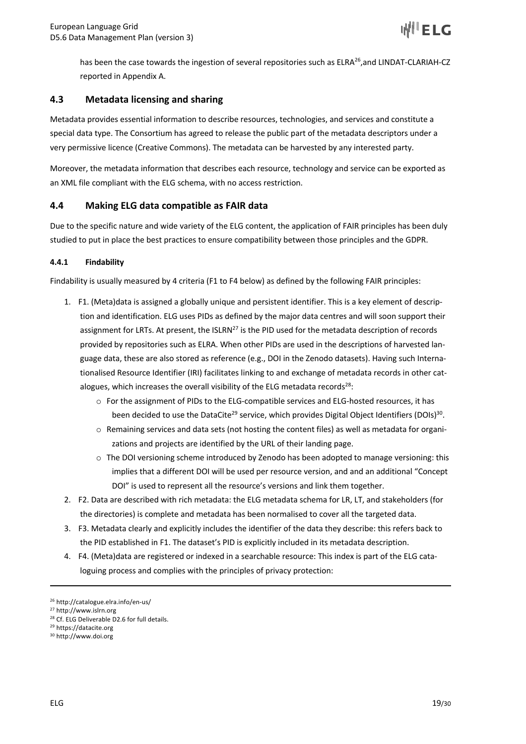has been the case towards the ingestion of several repositories such as  $ELRA^{26}$ , and LINDAT-CLARIAH-CZ reported in Appendix A.

## **4.3 Metadata licensing and sharing**

Metadata provides essential information to describe resources, technologies, and services and constitute a special data type. The Consortium has agreed to release the public part of the metadata descriptors under a very permissive licence (Creative Commons). The metadata can be harvested by any interested party.

Moreover, the metadata information that describes each resource, technology and service can be exported as an XML file compliant with the ELG schema, with no access restriction.

#### **4.4 Making ELG data compatible as FAIR data**

Due to the specific nature and wide variety of the ELG content, the application of FAIR principles has been duly studied to put in place the best practices to ensure compatibility between those principles and the GDPR.

#### **4.4.1 Findability**

Findability is usually measured by 4 criteria (F1 to F4 below) as defined by the following FAIR principles:

- 1. F1. (Meta)data is assigned a globally unique and persistent identifier. This is a key element of description and identification. ELG uses PIDs as defined by the major data centres and will soon support their assignment for LRTs. At present, the ISLRN<sup>27</sup> is the PID used for the metadata description of records provided by repositories such as ELRA. When other PIDs are used in the descriptions of harvested language data, these are also stored as reference (e.g., DOI in the Zenodo datasets). Having such Internationalised Resource Identifier (IRI) facilitates linking to and exchange of metadata records in other catalogues, which increases the overall visibility of the ELG metadata records<sup>28</sup>:
	- o For the assignment of PIDs to the ELG-compatible services and ELG-hosted resources, it has been decided to use the DataCite<sup>29</sup> service, which provides Digital Object Identifiers (DOIs)<sup>30</sup>.
	- $\circ$  Remaining services and data sets (not hosting the content files) as well as metadata for organizations and projects are identified by the URL of their landing page.
	- o The DOI versioning scheme introduced by Zenodo has been adopted to manage versioning: this implies that a different DOI will be used per resource version, and and an additional "Concept DOI" is used to represent all the resource's versions and link them together.
- 2. F2. Data are described with rich metadata: the ELG metadata schema for LR, LT, and stakeholders (for the directories) is complete and metadata has been normalised to cover all the targeted data.
- 3. F3. Metadata clearly and explicitly includes the identifier of the data they describe: this refers back to the PID established in F1. The dataset's PID is explicitly included in its metadata description.
- 4. F4. (Meta)data are registered or indexed in a searchable resource: This index is part of the ELG cataloguing process and complies with the principles of privacy protection:

<sup>26</sup> http://catalogue.elra.info/en-us/

<sup>27</sup> http://www.islrn.org

<sup>28</sup> Cf. ELG Deliverable D2.6 for full details.

<sup>29</sup> https://datacite.org

<sup>30</sup> http://www.doi.org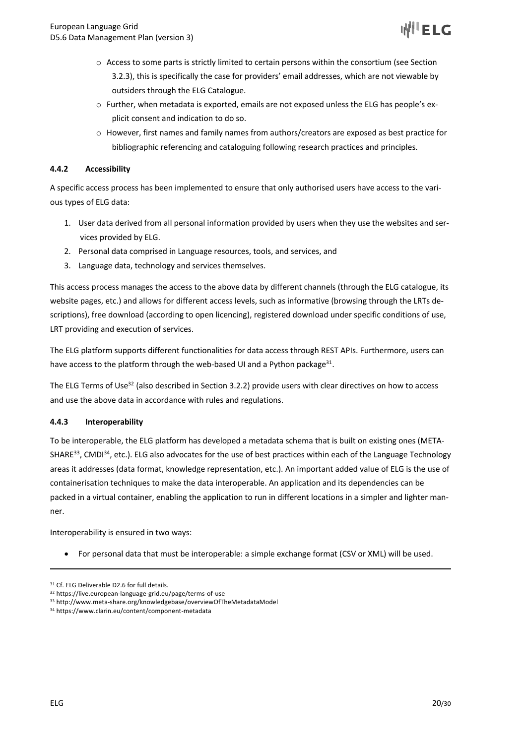

- o Access to some parts is strictly limited to certain persons within the consortium (see Section 3.2.3), this is specifically the case for providers' email addresses, which are not viewable by outsiders through the ELG Catalogue.
- o Further, when metadata is exported, emails are not exposed unless the ELG has people's explicit consent and indication to do so.
- $\circ$  However, first names and family names from authors/creators are exposed as best practice for bibliographic referencing and cataloguing following research practices and principles.

#### **4.4.2 Accessibility**

A specific access process has been implemented to ensure that only authorised users have access to the various types of ELG data:

- 1. User data derived from all personal information provided by users when they use the websites and services provided by ELG.
- 2. Personal data comprised in Language resources, tools, and services, and
- 3. Language data, technology and services themselves.

This access process manages the access to the above data by different channels (through the ELG catalogue, its website pages, etc.) and allows for different access levels, such as informative (browsing through the LRTs descriptions), free download (according to open licencing), registered download under specific conditions of use, LRT providing and execution of services.

The ELG platform supports different functionalities for data access through REST APIs. Furthermore, users can have access to the platform through the web-based UI and a Python package<sup>31</sup>.

The ELG Terms of Use<sup>32</sup> (also described in Section 3.2.2) provide users with clear directives on how to access and use the above data in accordance with rules and regulations.

#### **4.4.3 Interoperability**

To be interoperable, the ELG platform has developed a metadata schema that is built on existing ones (META-SHARE $^{33}$ , CMDI $^{34}$ , etc.). ELG also advocates for the use of best practices within each of the Language Technology areas it addresses (data format, knowledge representation, etc.). An important added value of ELG is the use of containerisation techniques to make the data interoperable. An application and its dependencies can be packed in a virtual container, enabling the application to run in different locations in a simpler and lighter manner.

Interoperability is ensured in two ways:

• For personal data that must be interoperable: a simple exchange format (CSV or XML) will be used.

<sup>&</sup>lt;sup>31</sup> Cf. ELG Deliverable D2.6 for full details.

<sup>32</sup> https://live.european-language-grid.eu/page/terms-of-use

<sup>33</sup> http://www.meta-share.org/knowledgebase/overviewOfTheMetadataModel

<sup>34</sup> https://www.clarin.eu/content/component-metadata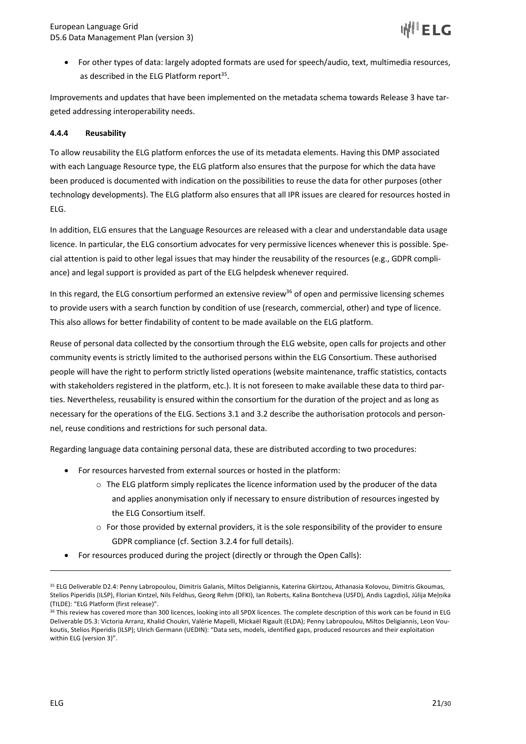• For other types of data: largely adopted formats are used for speech/audio, text, multimedia resources, as described in the ELG Platform report<sup>35</sup>.

Improvements and updates that have been implemented on the metadata schema towards Release 3 have targeted addressing interoperability needs.

#### **4.4.4 Reusability**

To allow reusability the ELG platform enforces the use of its metadata elements. Having this DMP associated with each Language Resource type, the ELG platform also ensures that the purpose for which the data have been produced is documented with indication on the possibilities to reuse the data for other purposes (other technology developments). The ELG platform also ensures that all IPR issues are cleared for resources hosted in ELG.

In addition, ELG ensures that the Language Resources are released with a clear and understandable data usage licence. In particular, the ELG consortium advocates for very permissive licences whenever this is possible. Special attention is paid to other legal issues that may hinder the reusability of the resources (e.g., GDPR compliance) and legal support is provided as part of the ELG helpdesk whenever required.

In this regard, the ELG consortium performed an extensive review<sup>36</sup> of open and permissive licensing schemes to provide users with a search function by condition of use (research, commercial, other) and type of licence. This also allows for better findability of content to be made available on the ELG platform.

Reuse of personal data collected by the consortium through the ELG website, open calls for projects and other community events is strictly limited to the authorised persons within the ELG Consortium. These authorised people will have the right to perform strictly listed operations (website maintenance, traffic statistics, contacts with stakeholders registered in the platform, etc.). It is not foreseen to make available these data to third parties. Nevertheless, reusability is ensured within the consortium for the duration of the project and as long as necessary for the operations of the ELG. Sections 3.1 and 3.2 describe the authorisation protocols and personnel, reuse conditions and restrictions for such personal data.

Regarding language data containing personal data, these are distributed according to two procedures:

- For resources harvested from external sources or hosted in the platform:
	- $\circ$  The ELG platform simply replicates the licence information used by the producer of the data and applies anonymisation only if necessary to ensure distribution of resources ingested by the ELG Consortium itself.
	- $\circ$  For those provided by external providers, it is the sole responsibility of the provider to ensure GDPR compliance (cf. Section 3.2.4 for full details).
- For resources produced during the project (directly or through the Open Calls):

<sup>35</sup> ELG Deliverable D2.4: Penny Labropoulou, Dimitris Galanis, Miltos Deligiannis, Katerina Gkirtzou, Athanasia Kolovou, Dimitris Gkoumas, Stelios Piperidis (ILSP), Florian Kintzel, Nils Feldhus, Georg Rehm (DFKI), Ian Roberts, Kalina Bontcheva (USFD), Andis Lagzdiņš, Jūlija Meļņika (TILDE): "ELG Platform (first release)".

<sup>36</sup> This review has covered more than 300 licences, looking into all SPDX licences. The complete description of this work can be found in ELG Deliverable D5.3: Victoria Arranz, Khalid Choukri, Valérie Mapelli, Mickaël Rigault (ELDA); Penny Labropoulou, Miltos Deligiannis, Leon Voukoutis, Stelios Piperidis (ILSP); Ulrich Germann (UEDIN): "Data sets, models, identified gaps, produced resources and their exploitation within ELG (version 3)".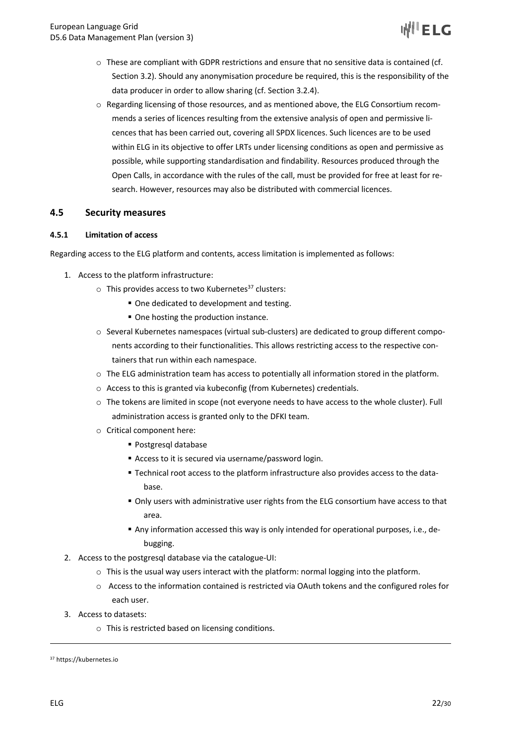

- $\circ$  These are compliant with GDPR restrictions and ensure that no sensitive data is contained (cf. Section 3.2). Should any anonymisation procedure be required, this is the responsibility of the data producer in order to allow sharing (cf. Section 3.2.4).
- o Regarding licensing of those resources, and as mentioned above, the ELG Consortium recommends a series of licences resulting from the extensive analysis of open and permissive licences that has been carried out, covering all SPDX licences. Such licences are to be used within ELG in its objective to offer LRTs under licensing conditions as open and permissive as possible, while supporting standardisation and findability. Resources produced through the Open Calls, in accordance with the rules of the call, must be provided for free at least for research. However, resources may also be distributed with commercial licences.

#### **4.5 Security measures**

#### **4.5.1 Limitation of access**

Regarding access to the ELG platform and contents, access limitation is implemented as follows:

- 1. Access to the platform infrastructure:
	- $\circ$  This provides access to two Kubernetes<sup>37</sup> clusters:
		- One dedicated to development and testing.
		- One hosting the production instance.
	- o Several Kubernetes namespaces (virtual sub-clusters) are dedicated to group different components according to their functionalities. This allows restricting access to the respective containers that run within each namespace.
	- $\circ$  The ELG administration team has access to potentially all information stored in the platform.
	- o Access to this is granted via kubeconfig (from Kubernetes) credentials.
	- $\circ$  The tokens are limited in scope (not everyone needs to have access to the whole cluster). Full administration access is granted only to the DFKI team.
	- o Critical component here:
		- § Postgresql database
		- Access to it is secured via username/password login.
		- § Technical root access to the platform infrastructure also provides access to the database.
		- § Only users with administrative user rights from the ELG consortium have access to that area.
		- Any information accessed this way is only intended for operational purposes, i.e., debugging.
- 2. Access to the postgresql database via the catalogue-UI:
	- $\circ$  This is the usual way users interact with the platform: normal logging into the platform.
	- o Access to the information contained is restricted via OAuth tokens and the configured roles for each user.
- 3. Access to datasets:
	- o This is restricted based on licensing conditions.

<sup>37</sup> https://kubernetes.io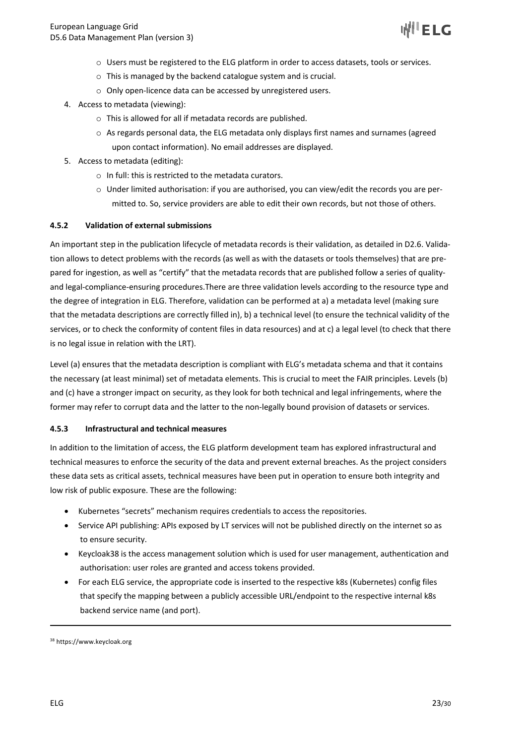- o Users must be registered to the ELG platform in order to access datasets, tools or services.
- o This is managed by the backend catalogue system and is crucial.
- o Only open-licence data can be accessed by unregistered users.
- 4. Access to metadata (viewing):
	- o This is allowed for all if metadata records are published.
	- $\circ$  As regards personal data, the ELG metadata only displays first names and surnames (agreed upon contact information). No email addresses are displayed.
- 5. Access to metadata (editing):
	- o In full: this is restricted to the metadata curators.
	- o Under limited authorisation: if you are authorised, you can view/edit the records you are permitted to. So, service providers are able to edit their own records, but not those of others.

#### **4.5.2 Validation of external submissions**

An important step in the publication lifecycle of metadata records is their validation, as detailed in D2.6. Validation allows to detect problems with the records (as well as with the datasets or tools themselves) that are prepared for ingestion, as well as "certify" that the metadata records that are published follow a series of qualityand legal-compliance-ensuring procedures.There are three validation levels according to the resource type and the degree of integration in ELG. Therefore, validation can be performed at a) a metadata level (making sure that the metadata descriptions are correctly filled in), b) a technical level (to ensure the technical validity of the services, or to check the conformity of content files in data resources) and at c) a legal level (to check that there is no legal issue in relation with the LRT).

Level (a) ensures that the metadata description is compliant with ELG's metadata schema and that it contains the necessary (at least minimal) set of metadata elements. This is crucial to meet the FAIR principles. Levels (b) and (c) have a stronger impact on security, as they look for both technical and legal infringements, where the former may refer to corrupt data and the latter to the non-legally bound provision of datasets or services.

#### **4.5.3 Infrastructural and technical measures**

In addition to the limitation of access, the ELG platform development team has explored infrastructural and technical measures to enforce the security of the data and prevent external breaches. As the project considers these data sets as critical assets, technical measures have been put in operation to ensure both integrity and low risk of public exposure. These are the following:

- Kubernetes "secrets" mechanism requires credentials to access the repositories.
- Service API publishing: APIs exposed by LT services will not be published directly on the internet so as to ensure security.
- Keycloak38 is the access management solution which is used for user management, authentication and authorisation: user roles are granted and access tokens provided.
- For each ELG service, the appropriate code is inserted to the respective k8s (Kubernetes) config files that specify the mapping between a publicly accessible URL/endpoint to the respective internal k8s backend service name (and port).

<sup>38</sup> https://www.keycloak.org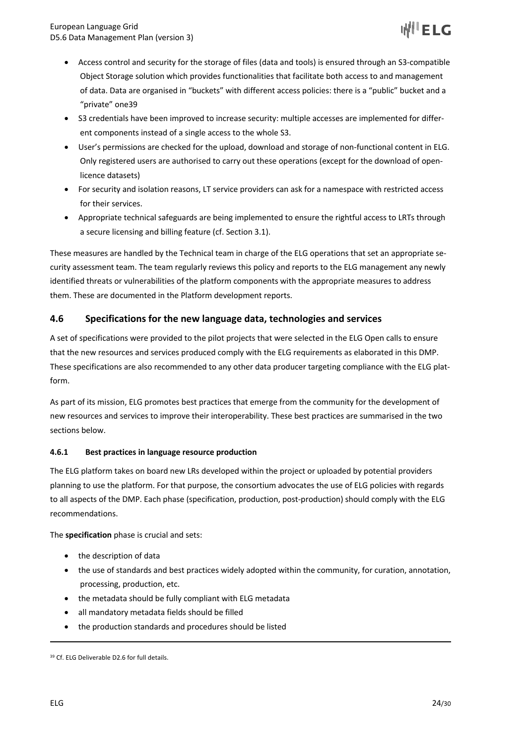- Access control and security for the storage of files (data and tools) is ensured through an S3-compatible Object Storage solution which provides functionalities that facilitate both access to and management of data. Data are organised in "buckets" with different access policies: there is a "public" bucket and a "private" one39
- S3 credentials have been improved to increase security: multiple accesses are implemented for different components instead of a single access to the whole S3.
- User's permissions are checked for the upload, download and storage of non-functional content in ELG. Only registered users are authorised to carry out these operations (except for the download of openlicence datasets)
- For security and isolation reasons, LT service providers can ask for a namespace with restricted access for their services.
- Appropriate technical safeguards are being implemented to ensure the rightful access to LRTs through a secure licensing and billing feature (cf. Section 3.1).

These measures are handled by the Technical team in charge of the ELG operations that set an appropriate security assessment team. The team regularly reviews this policy and reports to the ELG management any newly identified threats or vulnerabilities of the platform components with the appropriate measures to address them. These are documented in the Platform development reports.

## **4.6 Specifications for the new language data, technologies and services**

A set of specifications were provided to the pilot projects that were selected in the ELG Open calls to ensure that the new resources and services produced comply with the ELG requirements as elaborated in this DMP. These specifications are also recommended to any other data producer targeting compliance with the ELG platform.

As part of its mission, ELG promotes best practices that emerge from the community for the development of new resources and services to improve their interoperability. These best practices are summarised in the two sections below.

#### **4.6.1 Best practices in language resource production**

The ELG platform takes on board new LRs developed within the project or uploaded by potential providers planning to use the platform. For that purpose, the consortium advocates the use of ELG policies with regards to all aspects of the DMP. Each phase (specification, production, post-production) should comply with the ELG recommendations.

The **specification** phase is crucial and sets:

- the description of data
- the use of standards and best practices widely adopted within the community, for curation, annotation, processing, production, etc.
- the metadata should be fully compliant with ELG metadata
- all mandatory metadata fields should be filled
- the production standards and procedures should be listed

<sup>39</sup> Cf. ELG Deliverable D2.6 for full details.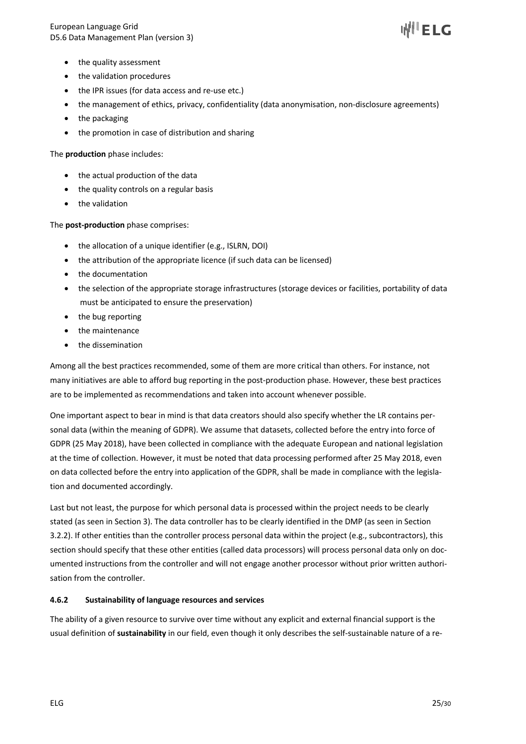

- the quality assessment
- the validation procedures
- the IPR issues (for data access and re-use etc.)
- the management of ethics, privacy, confidentiality (data anonymisation, non-disclosure agreements)
- the packaging
- the promotion in case of distribution and sharing

The **production** phase includes:

- the actual production of the data
- the quality controls on a regular basis
- the validation

#### The **post-production** phase comprises:

- the allocation of a unique identifier (e.g., ISLRN, DOI)
- the attribution of the appropriate licence (if such data can be licensed)
- the documentation
- the selection of the appropriate storage infrastructures (storage devices or facilities, portability of data must be anticipated to ensure the preservation)
- the bug reporting
- the maintenance
- the dissemination

Among all the best practices recommended, some of them are more critical than others. For instance, not many initiatives are able to afford bug reporting in the post-production phase. However, these best practices are to be implemented as recommendations and taken into account whenever possible.

One important aspect to bear in mind is that data creators should also specify whether the LR contains personal data (within the meaning of GDPR). We assume that datasets, collected before the entry into force of GDPR (25 May 2018), have been collected in compliance with the adequate European and national legislation at the time of collection. However, it must be noted that data processing performed after 25 May 2018, even on data collected before the entry into application of the GDPR, shall be made in compliance with the legislation and documented accordingly.

Last but not least, the purpose for which personal data is processed within the project needs to be clearly stated (as seen in Section 3). The data controller has to be clearly identified in the DMP (as seen in Section 3.2.2). If other entities than the controller process personal data within the project (e.g., subcontractors), this section should specify that these other entities (called data processors) will process personal data only on documented instructions from the controller and will not engage another processor without prior written authorisation from the controller.

#### **4.6.2 Sustainability of language resources and services**

The ability of a given resource to survive over time without any explicit and external financial support is the usual definition of **sustainability** in our field, even though it only describes the self-sustainable nature of a re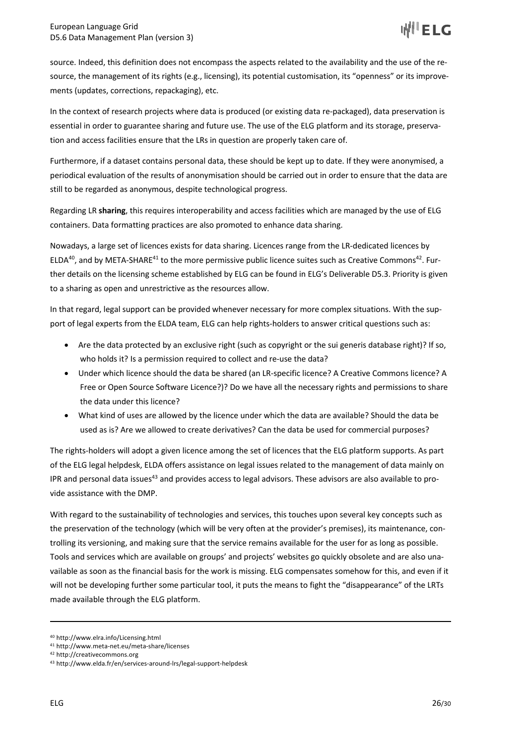source. Indeed, this definition does not encompass the aspects related to the availability and the use of the resource, the management of its rights (e.g., licensing), its potential customisation, its "openness" or its improvements (updates, corrections, repackaging), etc.

In the context of research projects where data is produced (or existing data re-packaged), data preservation is essential in order to guarantee sharing and future use. The use of the ELG platform and its storage, preservation and access facilities ensure that the LRs in question are properly taken care of.

Furthermore, if a dataset contains personal data, these should be kept up to date. If they were anonymised, a periodical evaluation of the results of anonymisation should be carried out in order to ensure that the data are still to be regarded as anonymous, despite technological progress.

Regarding LR **sharing**, this requires interoperability and access facilities which are managed by the use of ELG containers. Data formatting practices are also promoted to enhance data sharing.

Nowadays, a large set of licences exists for data sharing. Licences range from the LR-dedicated licences by ELDA<sup>40</sup>, and by META-SHARE<sup>41</sup> to the more permissive public licence suites such as Creative Commons<sup>42</sup>. Further details on the licensing scheme established by ELG can be found in ELG's Deliverable D5.3. Priority is given to a sharing as open and unrestrictive as the resources allow.

In that regard, legal support can be provided whenever necessary for more complex situations. With the support of legal experts from the ELDA team, ELG can help rights-holders to answer critical questions such as:

- Are the data protected by an exclusive right (such as copyright or the sui generis database right)? If so, who holds it? Is a permission required to collect and re-use the data?
- Under which licence should the data be shared (an LR-specific licence? A Creative Commons licence? A Free or Open Source Software Licence?)? Do we have all the necessary rights and permissions to share the data under this licence?
- What kind of uses are allowed by the licence under which the data are available? Should the data be used as is? Are we allowed to create derivatives? Can the data be used for commercial purposes?

The rights-holders will adopt a given licence among the set of licences that the ELG platform supports. As part of the ELG legal helpdesk, ELDA offers assistance on legal issues related to the management of data mainly on IPR and personal data issues<sup>43</sup> and provides access to legal advisors. These advisors are also available to provide assistance with the DMP.

With regard to the sustainability of technologies and services, this touches upon several key concepts such as the preservation of the technology (which will be very often at the provider's premises), its maintenance, controlling its versioning, and making sure that the service remains available for the user for as long as possible. Tools and services which are available on groups' and projects' websites go quickly obsolete and are also unavailable as soon as the financial basis for the work is missing. ELG compensates somehow for this, and even if it will not be developing further some particular tool, it puts the means to fight the "disappearance" of the LRTs made available through the ELG platform.

<sup>40</sup> http://www.elra.info/Licensing.html

<sup>41</sup> http://www.meta-net.eu/meta-share/licenses

<sup>42</sup> http://creativecommons.org

<sup>43</sup> http://www.elda.fr/en/services-around-lrs/legal-support-helpdesk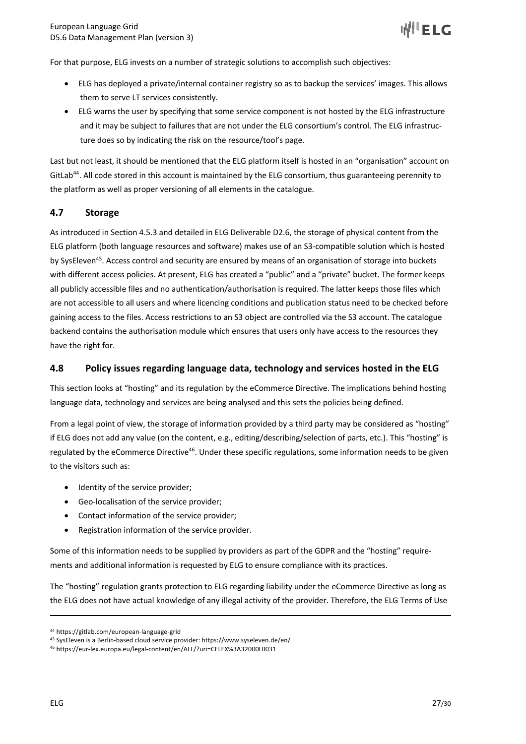For that purpose, ELG invests on a number of strategic solutions to accomplish such objectives:

- ELG has deployed a private/internal container registry so as to backup the services' images. This allows them to serve LT services consistently.
- ELG warns the user by specifying that some service component is not hosted by the ELG infrastructure and it may be subject to failures that are not under the ELG consortium's control. The ELG infrastructure does so by indicating the risk on the resource/tool's page.

Last but not least, it should be mentioned that the ELG platform itself is hosted in an "organisation" account on GitLab<sup>44</sup>. All code stored in this account is maintained by the ELG consortium, thus guaranteeing perennity to the platform as well as proper versioning of all elements in the catalogue.

## **4.7 Storage**

As introduced in Section 4.5.3 and detailed in ELG Deliverable D2.6, the storage of physical content from the ELG platform (both language resources and software) makes use of an S3-compatible solution which is hosted by SysEleven<sup>45</sup>. Access control and security are ensured by means of an organisation of storage into buckets with different access policies. At present, ELG has created a "public" and a "private" bucket. The former keeps all publicly accessible files and no authentication/authorisation is required. The latter keeps those files which are not accessible to all users and where licencing conditions and publication status need to be checked before gaining access to the files. Access restrictions to an S3 object are controlled via the S3 account. The catalogue backend contains the authorisation module which ensures that users only have access to the resources they have the right for.

#### **4.8 Policy issues regarding language data, technology and services hosted in the ELG**

This section looks at "hosting" and its regulation by the eCommerce Directive. The implications behind hosting language data, technology and services are being analysed and this sets the policies being defined.

From a legal point of view, the storage of information provided by a third party may be considered as "hosting" if ELG does not add any value (on the content, e.g., editing/describing/selection of parts, etc.). This "hosting" is regulated by the eCommerce Directive<sup>46</sup>. Under these specific regulations, some information needs to be given to the visitors such as:

- Identity of the service provider;
- Geo-localisation of the service provider;
- Contact information of the service provider;
- Registration information of the service provider.

Some of this information needs to be supplied by providers as part of the GDPR and the "hosting" requirements and additional information is requested by ELG to ensure compliance with its practices.

The "hosting" regulation grants protection to ELG regarding liability under the eCommerce Directive as long as the ELG does not have actual knowledge of any illegal activity of the provider. Therefore, the ELG Terms of Use

<sup>44</sup> https://gitlab.com/european-language-grid

<sup>45</sup> SysEleven is a Berlin-based cloud service provider: https://www.syseleven.de/en/

<sup>46</sup> https://eur-lex.europa.eu/legal-content/en/ALL/?uri=CELEX%3A32000L0031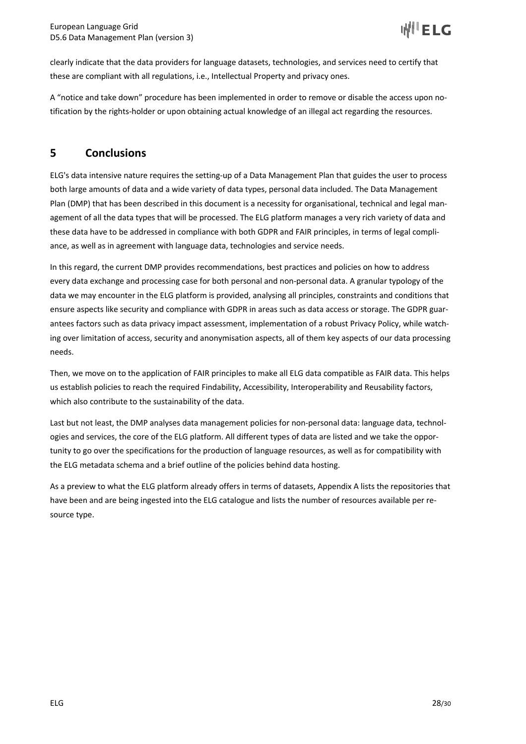clearly indicate that the data providers for language datasets, technologies, and services need to certify that these are compliant with all regulations, i.e., Intellectual Property and privacy ones.

A "notice and take down" procedure has been implemented in order to remove or disable the access upon notification by the rights-holder or upon obtaining actual knowledge of an illegal act regarding the resources.

# **5 Conclusions**

ELG's data intensive nature requires the setting-up of a Data Management Plan that guides the user to process both large amounts of data and a wide variety of data types, personal data included. The Data Management Plan (DMP) that has been described in this document is a necessity for organisational, technical and legal management of all the data types that will be processed. The ELG platform manages a very rich variety of data and these data have to be addressed in compliance with both GDPR and FAIR principles, in terms of legal compliance, as well as in agreement with language data, technologies and service needs.

In this regard, the current DMP provides recommendations, best practices and policies on how to address every data exchange and processing case for both personal and non-personal data. A granular typology of the data we may encounter in the ELG platform is provided, analysing all principles, constraints and conditions that ensure aspects like security and compliance with GDPR in areas such as data access or storage. The GDPR guarantees factors such as data privacy impact assessment, implementation of a robust Privacy Policy, while watching over limitation of access, security and anonymisation aspects, all of them key aspects of our data processing needs.

Then, we move on to the application of FAIR principles to make all ELG data compatible as FAIR data. This helps us establish policies to reach the required Findability, Accessibility, Interoperability and Reusability factors, which also contribute to the sustainability of the data.

Last but not least, the DMP analyses data management policies for non-personal data: language data, technologies and services, the core of the ELG platform. All different types of data are listed and we take the opportunity to go over the specifications for the production of language resources, as well as for compatibility with the ELG metadata schema and a brief outline of the policies behind data hosting.

As a preview to what the ELG platform already offers in terms of datasets, Appendix A lists the repositories that have been and are being ingested into the ELG catalogue and lists the number of resources available per resource type.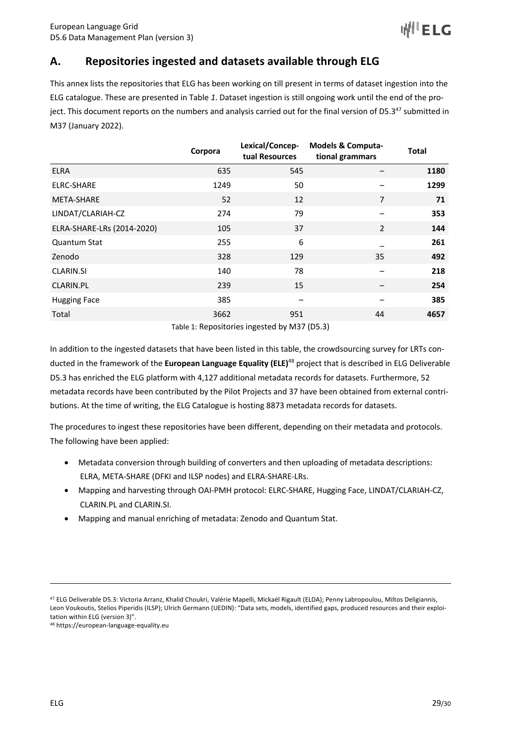# **A. Repositories ingested and datasets available through ELG**

This annex lists the repositories that ELG has been working on till present in terms of dataset ingestion into the ELG catalogue. These are presented in Table *1*. Dataset ingestion is still ongoing work until the end of the project. This document reports on the numbers and analysis carried out for the final version of D5.3<sup>47</sup> submitted in M37 (January 2022).

|                            | Corpora | Lexical/Concep-<br>tual Resources | <b>Models &amp; Computa-</b><br>tional grammars | <b>Total</b> |
|----------------------------|---------|-----------------------------------|-------------------------------------------------|--------------|
| <b>ELRA</b>                | 635     | 545                               |                                                 | 1180         |
| <b>ELRC-SHARE</b>          | 1249    | 50                                |                                                 | 1299         |
| <b>META-SHARE</b>          | 52      | 12                                | $\overline{7}$                                  | 71           |
| LINDAT/CLARIAH-CZ          | 274     | 79                                |                                                 | 353          |
| ELRA-SHARE-LRs (2014-2020) | 105     | 37                                | $\overline{2}$                                  | 144          |
| <b>Quantum Stat</b>        | 255     | 6                                 |                                                 | 261          |
| Zenodo                     | 328     | 129                               | 35                                              | 492          |
| <b>CLARIN.SI</b>           | 140     | 78                                |                                                 | 218          |
| CLARIN.PL                  | 239     | 15                                |                                                 | 254          |
| <b>Hugging Face</b>        | 385     |                                   |                                                 | 385          |
| Total                      | 3662    | 951                               | 44                                              | 4657         |
|                            |         |                                   |                                                 |              |

Table 1: Repositories ingested by M37 (D5.3)

In addition to the ingested datasets that have been listed in this table, the crowdsourcing survey for LRTs conducted in the framework of the **European Language Equality (ELE)**<sup>48</sup> project that is described in ELG Deliverable D5.3 has enriched the ELG platform with 4,127 additional metadata records for datasets. Furthermore, 52 metadata records have been contributed by the Pilot Projects and 37 have been obtained from external contributions. At the time of writing, the ELG Catalogue is hosting 8873 metadata records for datasets.

The procedures to ingest these repositories have been different, depending on their metadata and protocols. The following have been applied:

- Metadata conversion through building of converters and then uploading of metadata descriptions: ELRA, META-SHARE (DFKI and ILSP nodes) and ELRA-SHARE-LRs.
- Mapping and harvesting through OAI-PMH protocol: ELRC-SHARE, Hugging Face, LINDAT/CLARIAH-CZ, CLARIN.PL and CLARIN.SI.
- Mapping and manual enriching of metadata: Zenodo and Quantum Stat.

<sup>47</sup> ELG Deliverable D5.3: Victoria Arranz, Khalid Choukri, Valérie Mapelli, Mickaël Rigault (ELDA); Penny Labropoulou, Miltos Deligiannis, Leon Voukoutis, Stelios Piperidis (ILSP); Ulrich Germann (UEDIN): "Data sets, models, identified gaps, produced resources and their exploitation within ELG (version 3)".

<sup>48</sup> https://european-language-equality.eu